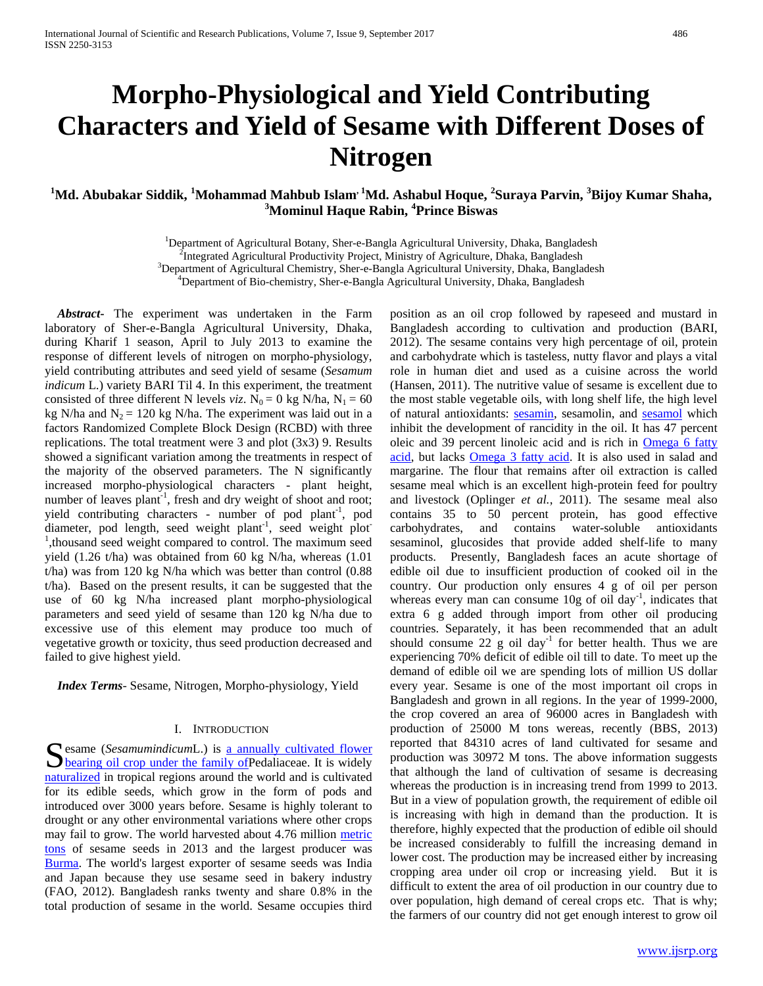# **Morpho-Physiological and Yield Contributing Characters and Yield of Sesame with Different Doses of Nitrogen**

## <sup>1</sup>Md. Abubakar Siddik, <sup>1</sup>Mohammad Mahbub Islam<sup>, 1</sup>Md. Ashabul Hoque, <sup>2</sup>Suraya Parvin, <sup>3</sup>Bijoy Kumar Shaha, **3 Mominul Haque Rabin, 4 Prince Biswas**

<sup>1</sup>Department of Agricultural Botany, Sher-e-Bangla Agricultural University, Dhaka, Bangladesh <sup>2</sup>Integrated Agricultural Productivity Project Ministry of Agricultural Dhaka, Bangladesh

<sup>2</sup>Integrated Agricultural Productivity Project, Ministry of Agriculture, Dhaka, Bangladesh

 ${}^{3}$ Department of Agricultural Chemistry, Sher-e-Bangla Agricultural University, Dhaka, Bangladesh

<sup>4</sup>Department of Bio-chemistry, Sher-e-Bangla Agricultural University, Dhaka, Bangladesh

 *Abstract***-** The experiment was undertaken in the Farm laboratory of Sher-e-Bangla Agricultural University, Dhaka, during Kharif 1 season, April to July 2013 to examine the response of different levels of nitrogen on morpho-physiology, yield contributing attributes and seed yield of sesame (*Sesamum indicum* L.) variety BARI Til 4. In this experiment, the treatment consisted of three different N levels *viz*.  $N_0 = 0$  kg N/ha,  $N_1 = 60$ kg N/ha and  $N_2 = 120$  kg N/ha. The experiment was laid out in a factors Randomized Complete Block Design (RCBD) with three replications. The total treatment were 3 and plot (3x3) 9. Results showed a significant variation among the treatments in respect of the majority of the observed parameters. The N significantly increased morpho-physiological characters - plant height, number of leaves plant<sup>-1</sup>, fresh and dry weight of shoot and root; yield contributing characters - number of pod plant<sup>-1</sup>, pod diameter, pod length, seed weight plant<sup>-1</sup>, seed weight plot<sup>-</sup> <sup>1</sup>, thousand seed weight compared to control. The maximum seed yield (1.26 t/ha) was obtained from 60 kg N/ha, whereas (1.01 t/ha) was from 120 kg N/ha which was better than control (0.88 t/ha). Based on the present results, it can be suggested that the use of 60 kg N/ha increased plant morpho-physiological parameters and seed yield of sesame than 120 kg N/ha due to excessive use of this element may produce too much of vegetative growth or toxicity, thus seed production decreased and failed to give highest yield.

 *Index Terms*- Sesame, Nitrogen, Morpho-physiology, Yield

#### I. INTRODUCTION

Sesame (*Sesamumindicum*L.) is <u>a annually cultivated flower</u><br>
<u>bearing oil crop under the family of</u> Pedaliaceae. It is widely **bearing oil crop under the family of Pedaliaceae.** It is widely [naturalized](http://en.wikipedia.org/wiki/Naturalization_%28biology%29) in tropical regions around the world and is cultivated for its edible seeds, which grow in the form of pods and introduced over 3000 years before. Sesame is highly tolerant to drought or any other environmental variations where other crops may fail to grow. The world harvested about 4.76 million [metric](http://en.wikipedia.org/wiki/Tonne)  [tons](http://en.wikipedia.org/wiki/Tonne) of sesame seeds in 2013 and the largest producer was [Burma.](http://en.wikipedia.org/wiki/Burma) The world's largest exporter of sesame seeds was India and Japan because they use sesame seed in bakery industry (FAO, 2012). Bangladesh ranks twenty and share 0.8% in the total production of sesame in the world. Sesame occupies third

position as an oil crop followed by rapeseed and mustard in Bangladesh according to cultivation and production (BARI, 2012). The sesame contains very high percentage of oil, protein and carbohydrate which is tasteless, nutty flavor and plays a vital role in human diet and used as a cuisine across the world (Hansen, 2011). The nutritive value of sesame is excellent due to the most stable vegetable oils, with long shelf life, the high level of natural antioxidants: [sesamin,](http://en.wikipedia.org/wiki/Sesamin) sesamolin, and [sesamol](http://en.wikipedia.org/wiki/Sesamol) which inhibit the development of rancidity in the oil. It has 47 percent oleic and 39 percent linoleic acid and is rich in **Omega 6 fatty** [acid,](http://en.wikipedia.org/wiki/Omega_6_fatty_acid) but lacks [Omega 3 fatty acid.](http://en.wikipedia.org/wiki/Omega_3_fatty_acid) It is also used in salad and margarine. The flour that remains after oil extraction is called sesame meal which is an excellent high-protein feed for poultry and livestock (Oplinger *et al.*, 2011). The sesame meal also contains 35 to 50 percent protein, has good effective carbohydrates, and contains water-soluble antioxidants sesaminol, glucosides that provide added shelf-life to many products. Presently, Bangladesh faces an acute shortage of edible oil due to insufficient production of cooked oil in the country. Our production only ensures 4 g of oil per person whereas every man can consume  $10g$  of oil day<sup>-1</sup>, indicates that extra 6 g added through import from other oil producing countries. Separately, it has been recommended that an adult should consume  $22$  g oil day<sup>-1</sup> for better health. Thus we are experiencing 70% deficit of edible oil till to date. To meet up the demand of edible oil we are spending lots of million US dollar every year. Sesame is one of the most important oil crops in Bangladesh and grown in all regions. In the year of 1999-2000, the crop covered an area of 96000 acres in Bangladesh with production of 25000 M tons wereas, recently (BBS, 2013) reported that 84310 acres of land cultivated for sesame and production was 30972 M tons. The above information suggests that although the land of cultivation of sesame is decreasing whereas the production is in increasing trend from 1999 to 2013. But in a view of population growth, the requirement of edible oil is increasing with high in demand than the production. It is therefore, highly expected that the production of edible oil should be increased considerably to fulfill the increasing demand in lower cost. The production may be increased either by increasing cropping area under oil crop or increasing yield. But it is difficult to extent the area of oil production in our country due to over population, high demand of cereal crops etc. That is why; the farmers of our country did not get enough interest to grow oil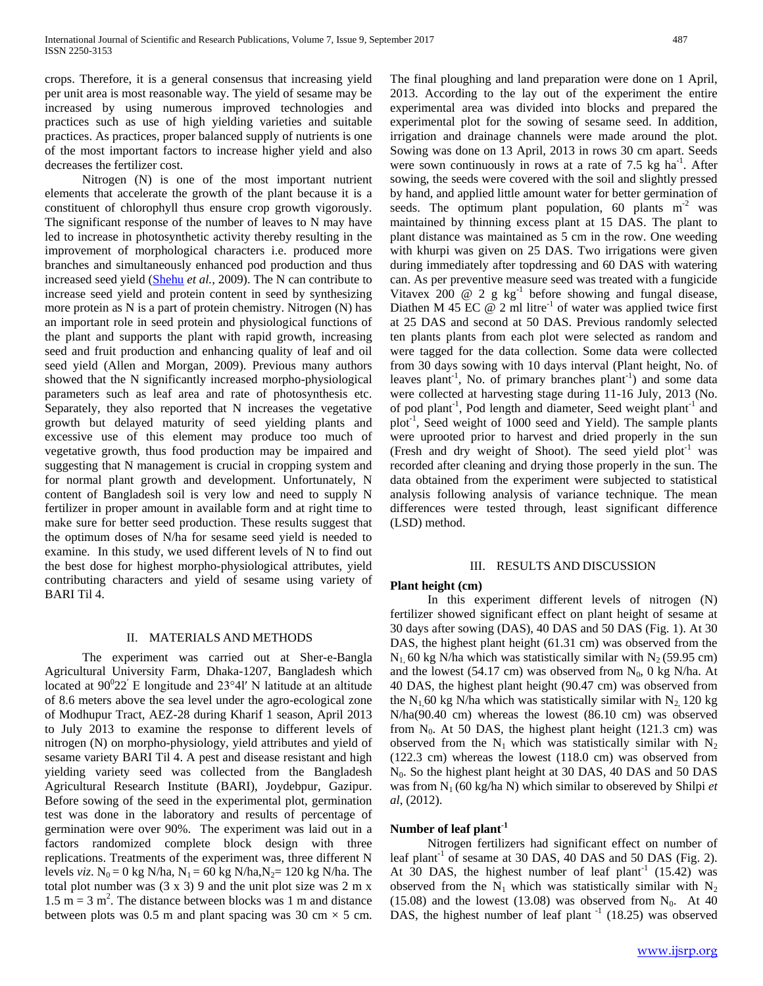crops. Therefore, it is a general consensus that increasing yield per unit area is most reasonable way. The yield of sesame may be increased by using numerous improved technologies and practices such as use of high yielding varieties and suitable practices. As practices, proper balanced supply of nutrients is one of the most important factors to increase higher yield and also decreases the fertilizer cost.

 Nitrogen (N) is one of the most important nutrient elements that accelerate the growth of the plant because it is a constituent of chlorophyll thus ensure crop growth vigorously. The significant response of the number of leaves to N may have led to increase in photosynthetic activity thereby resulting in the improvement of morphological characters i.e. produced more branches and simultaneously enhanced pod production and thus increased seed yield [\(Shehu](http://scialert.net/asci/author.php?author=H.E.&last=Shehu) *et al.,* 2009). The N can contribute to increase seed yield and protein content in seed by synthesizing more protein as N is a part of protein chemistry. Nitrogen (N) has an important role in seed protein and physiological functions of the plant and supports the plant with rapid growth, increasing seed and fruit production and enhancing quality of leaf and oil seed yield (Allen and Morgan, 2009). Previous many authors showed that the N significantly increased morpho-physiological parameters such as leaf area and rate of photosynthesis etc. Separately, they also reported that N increases the vegetative growth but delayed maturity of seed yielding plants and excessive use of this element may produce too much of vegetative growth, thus food production may be impaired and suggesting that N management is crucial in cropping system and for normal plant growth and development. Unfortunately, N content of Bangladesh soil is very low and need to supply N fertilizer in proper amount in available form and at right time to make sure for better seed production. These results suggest that the optimum doses of N/ha for sesame seed yield is needed to examine. In this study, we used different levels of N to find out the best dose for highest morpho-physiological attributes, yield contributing characters and yield of sesame using variety of BARI Til 4.

#### II. MATERIALS AND METHODS

 The experiment was carried out at Sher-e-Bangla Agricultural University Farm, Dhaka-1207, Bangladesh which located at  $90^{\circ}22'$  E longitude and  $23^{\circ}4$ l' N latitude at an altitude of 8.6 meters above the sea level under the agro-ecological zone of Modhupur Tract, AEZ-28 during Kharif 1 season, April 2013 to July 2013 to examine the response to different levels of nitrogen (N) on morpho-physiology, yield attributes and yield of sesame variety BARI Til 4. A pest and disease resistant and high yielding variety seed was collected from the Bangladesh Agricultural Research Institute (BARI), Joydebpur, Gazipur. Before sowing of the seed in the experimental plot, germination test was done in the laboratory and results of percentage of germination were over 90%. The experiment was laid out in a factors randomized complete block design with three replications. Treatments of the experiment was, three different N levels *viz*.  $N_0 = 0$  kg N/ha,  $N_1 = 60$  kg N/ha,  $N_2 = 120$  kg N/ha. The total plot number was  $(3 \times 3)$  9 and the unit plot size was 2 m x  $1.5 \text{ m} = 3 \text{ m}^2$ . The distance between blocks was 1 m and distance between plots was 0.5 m and plant spacing was 30 cm  $\times$  5 cm.

The final ploughing and land preparation were done on 1 April, 2013. According to the lay out of the experiment the entire experimental area was divided into blocks and prepared the experimental plot for the sowing of sesame seed. In addition, irrigation and drainage channels were made around the plot. Sowing was done on 13 April, 2013 in rows 30 cm apart. Seeds were sown continuously in rows at a rate of  $7.5 \text{ kg}$  ha<sup>-1</sup>. After sowing, the seeds were covered with the soil and slightly pressed by hand, and applied little amount water for better germination of seeds. The optimum plant population, 60 plants  $m<sup>2</sup>$  was maintained by thinning excess plant at 15 DAS. The plant to plant distance was maintained as 5 cm in the row. One weeding with khurpi was given on 25 DAS. Two irrigations were given during immediately after topdressing and 60 DAS with watering can. As per preventive measure seed was treated with a fungicide Vitavex 200  $\omega$  2 g kg<sup>-1</sup> before showing and fungal disease, Diathen M 45 EC  $@$  2 ml litre<sup>-1</sup> of water was applied twice first at 25 DAS and second at 50 DAS. Previous randomly selected ten plants plants from each plot were selected as random and were tagged for the data collection. Some data were collected from 30 days sowing with 10 days interval (Plant height, No. of leaves plant<sup>-1</sup>, No. of primary branches plant<sup>-1</sup>) and some data were collected at harvesting stage during 11-16 July, 2013 (No. of pod plant<sup>-1</sup>, Pod length and diameter, Seed weight plant<sup>-1</sup> and plot<sup>-1</sup>, Seed weight of 1000 seed and Yield). The sample plants were uprooted prior to harvest and dried properly in the sun (Fresh and dry weight of Shoot). The seed yield  $plot^{-1}$  was recorded after cleaning and drying those properly in the sun. The data obtained from the experiment were subjected to statistical analysis following analysis of variance technique. The mean differences were tested through, least significant difference (LSD) method.

#### III. RESULTS AND DISCUSSION

## **Plant height (cm)**

 In this experiment different levels of nitrogen (N) fertilizer showed significant effect on plant height of sesame at 30 days after sowing (DAS), 40 DAS and 50 DAS (Fig. 1). At 30 DAS, the highest plant height (61.31 cm) was observed from the  $N_1$ , 60 kg N/ha which was statistically similar with  $N_2$  (59.95 cm) and the lowest (54.17 cm) was observed from  $N_0$ , 0 kg N/ha. At 40 DAS, the highest plant height (90.47 cm) was observed from the  $N_1$  60 kg N/ha which was statistically similar with  $N_2$  120 kg N/ha(90.40 cm) whereas the lowest (86.10 cm) was observed from  $N_0$ . At 50 DAS, the highest plant height (121.3 cm) was observed from the  $N_1$  which was statistically similar with  $N_2$ (122.3 cm) whereas the lowest (118.0 cm) was observed from N<sub>0</sub>. So the highest plant height at 30 DAS, 40 DAS and 50 DAS was from  $N_1$  (60 kg/ha N) which similar to obsereved by Shilpi *et al*, (2012).

## **Number of leaf plant-1**

 Nitrogen fertilizers had significant effect on number of leaf plant<sup>-1</sup> of sesame at 30 DAS, 40 DAS and 50 DAS (Fig. 2). At 30 DAS, the highest number of leaf plant<sup>-1</sup>  $(15.42)$  was observed from the  $N_1$  which was statistically similar with  $N_2$ (15.08) and the lowest (13.08) was observed from  $N_0$ . At 40 DAS, the highest number of leaf plant  $^{-1}$  (18.25) was observed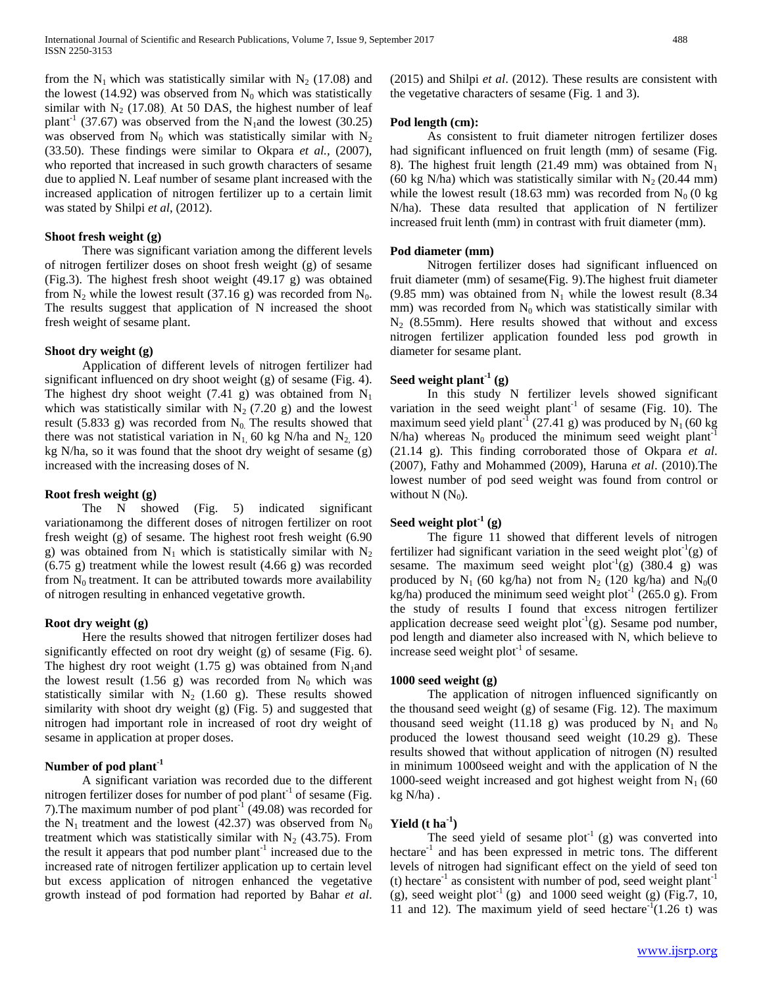from the  $N_1$  which was statistically similar with  $N_2$  (17.08) and the lowest (14.92) was observed from  $N_0$  which was statistically similar with  $N_2$  (17.08). At 50 DAS, the highest number of leaf plant<sup>-1</sup> (37.67) was observed from the N<sub>1</sub>and the lowest (30.25) was observed from  $N_0$  which was statistically similar with  $N_2$ (33.50). These findings were similar to Okpara *et al.,* (2007), who reported that increased in such growth characters of sesame due to applied N. Leaf number of sesame plant increased with the increased application of nitrogen fertilizer up to a certain limit was stated by Shilpi *et al*, (2012).

## **Shoot fresh weight (g)**

 There was significant variation among the different levels of nitrogen fertilizer doses on shoot fresh weight (g) of sesame (Fig.3). The highest fresh shoot weight (49.17 g) was obtained from  $N_2$  while the lowest result (37.16 g) was recorded from  $N_0$ . The results suggest that application of N increased the shoot fresh weight of sesame plant.

## **Shoot dry weight (g)**

 Application of different levels of nitrogen fertilizer had significant influenced on dry shoot weight (g) of sesame (Fig. 4). The highest dry shoot weight (7.41 g) was obtained from  $N_1$ which was statistically similar with  $N_2$  (7.20 g) and the lowest result (5.833 g) was recorded from  $N_0$ . The results showed that there was not statistical variation in  $N_1$ , 60 kg N/ha and  $N_2$ , 120 kg N/ha, so it was found that the shoot dry weight of sesame (g) increased with the increasing doses of N.

## **Root fresh weight (g)**

 The N showed (Fig. 5) indicated significant variationamong the different doses of nitrogen fertilizer on root fresh weight (g) of sesame. The highest root fresh weight (6.90 g) was obtained from  $N_1$  which is statistically similar with  $N_2$ (6.75 g) treatment while the lowest result (4.66 g) was recorded from  $N_0$  treatment. It can be attributed towards more availability of nitrogen resulting in enhanced vegetative growth.

## **Root dry weight (g)**

 Here the results showed that nitrogen fertilizer doses had significantly effected on root dry weight (g) of sesame (Fig. 6). The highest dry root weight (1.75 g) was obtained from  $N_1$  and the lowest result (1.56 g) was recorded from  $N_0$  which was statistically similar with  $N_2$  (1.60 g). These results showed similarity with shoot dry weight (g) (Fig. 5) and suggested that nitrogen had important role in increased of root dry weight of sesame in application at proper doses.

## **Number of pod plant-1**

 A significant variation was recorded due to the different nitrogen fertilizer doses for number of pod plant $^{-1}$  of sesame (Fig. 7). The maximum number of pod plant<sup>-1</sup> (49.08) was recorded for the  $N_1$  treatment and the lowest (42.37) was observed from  $N_0$ treatment which was statistically similar with  $N_2$  (43.75). From the result it appears that pod number  $plant^{-1}$  increased due to the increased rate of nitrogen fertilizer application up to certain level but excess application of nitrogen enhanced the vegetative growth instead of pod formation had reported by Bahar *et al*.

(2015) and Shilpi *et al*. (2012). These results are consistent with the vegetative characters of sesame (Fig. 1 and 3).

## **Pod length (cm):**

 As consistent to fruit diameter nitrogen fertilizer doses had significant influenced on fruit length (mm) of sesame (Fig. 8). The highest fruit length (21.49 mm) was obtained from  $N_1$ (60 kg N/ha) which was statistically similar with  $N_2$  (20.44 mm) while the lowest result (18.63 mm) was recorded from  $N_0$  (0 kg N/ha). These data resulted that application of N fertilizer increased fruit lenth (mm) in contrast with fruit diameter (mm).

## **Pod diameter (mm)**

 Nitrogen fertilizer doses had significant influenced on fruit diameter (mm) of sesame(Fig. 9).The highest fruit diameter (9.85 mm) was obtained from  $N_1$  while the lowest result (8.34 mm) was recorded from  $N_0$  which was statistically similar with  $N_2$  (8.55mm). Here results showed that without and excess nitrogen fertilizer application founded less pod growth in diameter for sesame plant.

## **Seed weight plant-1 (g)**

 In this study N fertilizer levels showed significant variation in the seed weight plant<sup>-1</sup> of sesame (Fig. 10). The maximum seed yield plant<sup>-1</sup> (27.41 g) was produced by  $N_1$  (60 kg N/ha) whereas  $N_0$  produced the minimum seed weight plant<sup>-1</sup> (21.14 g). This finding corroborated those of Okpara *et al*. (2007), Fathy and Mohammed (2009), Haruna *et al*. (2010).The lowest number of pod seed weight was found from control or without  $N(N_0)$ .

## **Seed weight plot**<sup> $1$ </sup> (g)

 The figure 11 showed that different levels of nitrogen fertilizer had significant variation in the seed weight plot<sup>-1</sup>(g) of sesame. The maximum seed weight plot<sup>-1</sup>(g)  $(380.4 \text{ g})$  was produced by  $N_1$  (60 kg/ha) not from  $N_2$  (120 kg/ha) and  $N_0(0)$ kg/ha) produced the minimum seed weight plot<sup>-1</sup> (265.0 g). From the study of results I found that excess nitrogen fertilizer application decrease seed weight  $plot^{-1}(g)$ . Sesame pod number, pod length and diameter also increased with N, which believe to increase seed weight  $plot<sup>-1</sup>$  of sesame.

## **1000 seed weight (g)**

 The application of nitrogen influenced significantly on the thousand seed weight (g) of sesame (Fig. 12). The maximum thousand seed weight (11.18 g) was produced by  $N_1$  and  $N_0$ produced the lowest thousand seed weight (10.29 g). These results showed that without application of nitrogen (N) resulted in minimum 1000seed weight and with the application of N the 1000-seed weight increased and got highest weight from  $N_1$  (60 kg N/ha) .

## **Yield (t ha-1 )**

The seed yield of sesame  $plot^{-1}$  (g) was converted into hectare<sup>-1</sup> and has been expressed in metric tons. The different levels of nitrogen had significant effect on the yield of seed ton (t) hectare<sup>-1</sup> as consistent with number of pod, seed weight plant<sup>-1</sup> (g), seed weight plot<sup>-1</sup> (g) and 1000 seed weight (g) (Fig.7, 10, 11 and 12). The maximum yield of seed hectare<sup>-1</sup>(1.26 t) was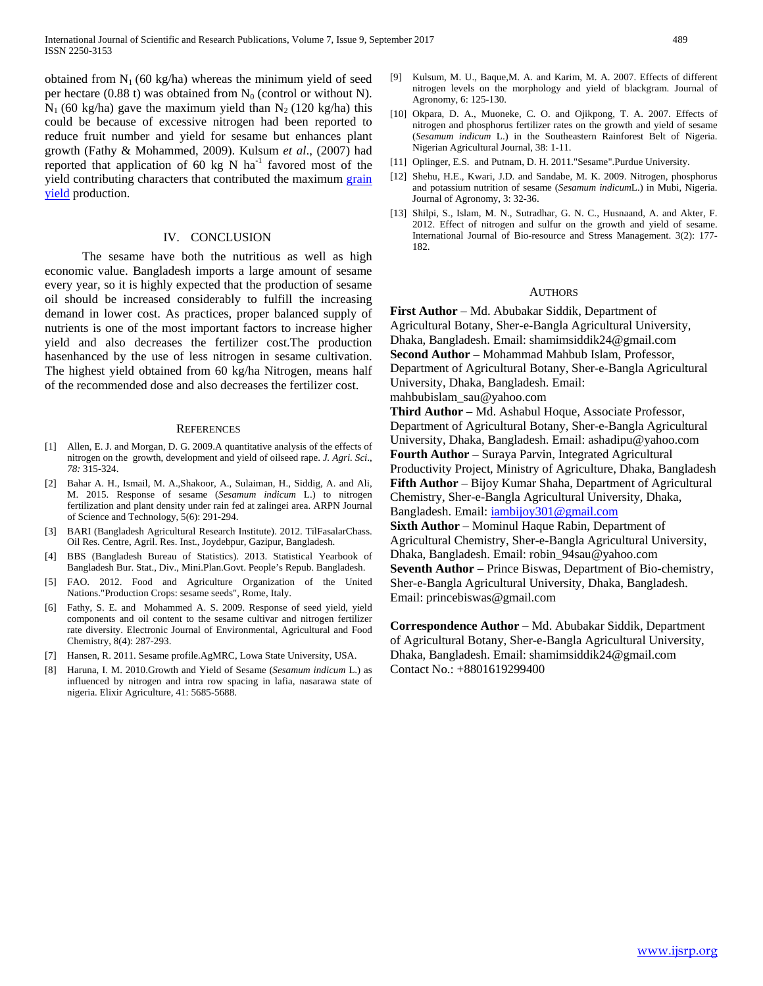obtained from  $N_1$  (60 kg/ha) whereas the minimum yield of seed per hectare (0.88 t) was obtained from  $N_0$  (control or without N).  $N_1$  (60 kg/ha) gave the maximum yield than  $N_2$  (120 kg/ha) this could be because of excessive nitrogen had been reported to reduce fruit number and yield for sesame but enhances plant growth (Fathy & Mohammed, 2009). Kulsum *et al*., (2007) had reported that application of 60 kg N  $ha^{-1}$  favored most of the yield contributing characters that contributed the maximum grain [yield](http://www.scialert.net/asci/result.php?searchin=Keywords&cat=&ascicat=ALL&Submit=Search&keyword=grain+yield) production.

#### IV. CONCLUSION

 The sesame have both the nutritious as well as high economic value. Bangladesh imports a large amount of sesame every year, so it is highly expected that the production of sesame oil should be increased considerably to fulfill the increasing demand in lower cost. As practices, proper balanced supply of nutrients is one of the most important factors to increase higher yield and also decreases the fertilizer cost.The production hasenhanced by the use of less nitrogen in sesame cultivation. The highest yield obtained from 60 kg/ha Nitrogen, means half of the recommended dose and also decreases the fertilizer cost.

#### **REFERENCES**

- [1] Allen, E. J. and Morgan, D. G. 2009.A quantitative analysis of the effects of nitrogen on the growth, development and yield of oilseed rape. *J. Agri. Sci*., *78:* 315-324.
- [2] Bahar A. H., Ismail, M. A.,Shakoor, A., Sulaiman, H., Siddig, A. and Ali, M. 2015. Response of sesame (*Sesamum indicum* L.) to nitrogen fertilization and plant density under rain fed at zalingei area. ARPN Journal of Science and Technology, 5(6): 291-294.
- [3] BARI (Bangladesh Agricultural Research Institute). 2012. TilFasalarChass. Oil Res. Centre, Agril. Res. Inst., Joydebpur, Gazipur, Bangladesh.
- [4] BBS (Bangladesh Bureau of Statistics). 2013. Statistical Yearbook of Bangladesh Bur. Stat., Div., Mini.Plan.Govt. People's Repub. Bangladesh.
- [5] FAO. 2012. Food and Agriculture Organization of the United Nations[."Production Crops: sesame seeds",](http://faostat.fao.org/site/567/DesktopDefault.aspx?PageID=567#ancor) Rome, Italy.
- [6] Fathy, S. E. and Mohammed A. S. 2009. Response of seed yield, yield components and oil content to the sesame cultivar and nitrogen fertilizer rate diversity. Electronic Journal of Environmental, Agricultural and Food Chemistry, 8(4): 287-293.
- [7] Hansen, R. 2011. Sesame profile.AgMRC, Lowa State University, USA.
- [8] Haruna, I. M. 2010.Growth and Yield of Sesame (*Sesamum indicum* L.) as influenced by nitrogen and intra row spacing in lafia, nasarawa state of nigeria. Elixir Agriculture, 41: 5685-5688.
- [9] Kulsum, M. U., Baque,M. A. and Karim, M. A. 2007. Effects of different nitrogen levels on the morphology and yield of blackgram. Journal of Agronomy, 6: 125-130.
- [10] Okpara, D. A., Muoneke, C. O. and Ojikpong, T. A. 2007. Effects of nitrogen and phosphorus fertilizer rates on the growth and yield of sesame (*Sesamum indicum* L.) in the Southeastern Rainforest Belt of Nigeria. Nigerian Agricultural Journal, 38: 1-11.
- [11] Oplinger, E.S. and Putnam, D. H. 201[1."Sesame".P](http://www.hort.purdue.edu/newcrop/afcm/sesame.html)urdue University.
- [12] [Shehu,](http://scialert.net/asci/author.php?author=H.E.&last=Shehu) H.E., [Kwari,](http://scialert.net/asci/author.php?author=J.D.&last=Kwari) J.D. and [Sandabe,](http://scialert.net/asci/author.php?author=M.K.&last=Sandabe) M. K. 2009. Nitrogen, phosphorus and potassium nutrition of sesame (*Sesamum indicum*L.) in Mubi, Nigeria. Journal of Agronomy, 3: 32-36.
- [13] Shilpi, S., Islam, M. N., Sutradhar, G. N. C., Husnaand, A. and Akter, F. 2012. Effect of nitrogen and sulfur on the growth and yield of sesame. International Journal of Bio-resource and Stress Management. 3(2): 177- 182.

#### AUTHORS

**First Author** – Md. Abubakar Siddik, Department of Agricultural Botany, Sher-e-Bangla Agricultural University, Dhaka, Bangladesh. Email: shamimsiddik24@gmail.com **Second Author** – Mohammad Mahbub Islam, Professor, Department of Agricultural Botany, Sher-e-Bangla Agricultural University, Dhaka, Bangladesh. Email:

mahbubislam\_sau@yahoo.com

**Third Author** – Md. Ashabul Hoque, Associate Professor, Department of Agricultural Botany, Sher-e-Bangla Agricultural University, Dhaka, Bangladesh. Email: ashadipu@yahoo.com **Fourth Author** – Suraya Parvin, Integrated Agricultural Productivity Project, Ministry of Agriculture, Dhaka, Bangladesh **Fifth Author** – Bijoy Kumar Shaha, Department of Agricultural Chemistry, Sher-e-Bangla Agricultural University, Dhaka, Bangladesh. Email: [iambijoy301@gmail.com](mailto:iambijoy301@gmail.com)

**Sixth Author** – Mominul Haque Rabin, Department of Agricultural Chemistry, Sher-e-Bangla Agricultural University, Dhaka, Bangladesh. Email: robin\_94sau@yahoo.com **Seventh Author** – Prince Biswas, Department of Bio-chemistry, Sher-e-Bangla Agricultural University, Dhaka, Bangladesh. Email: princebiswas@gmail.com

**Correspondence Author** – Md. Abubakar Siddik, Department of Agricultural Botany, Sher-e-Bangla Agricultural University, Dhaka, Bangladesh. Email: shamimsiddik24@gmail.com Contact No.: +8801619299400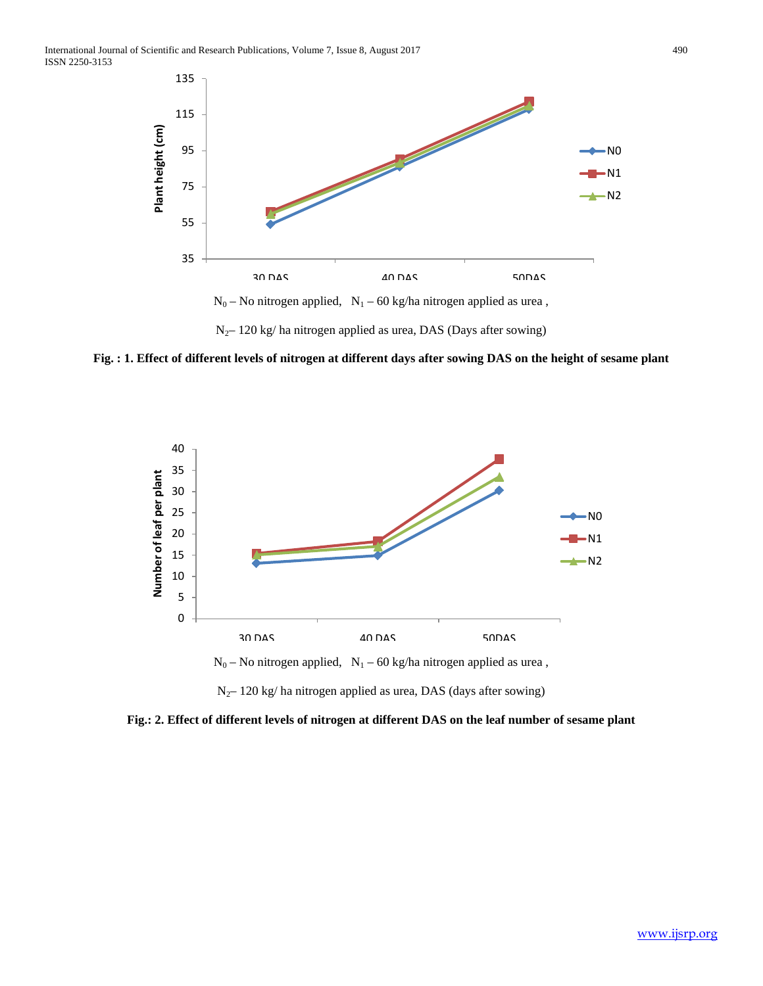

 $N_{2}$ – 120 kg/ ha nitrogen applied as urea, DAS (Days after sowing)

**Fig. : 1. Effect of different levels of nitrogen at different days after sowing DAS on the height of sesame plant**



**Fig.: 2. Effect of different levels of nitrogen at different DAS on the leaf number of sesame plant**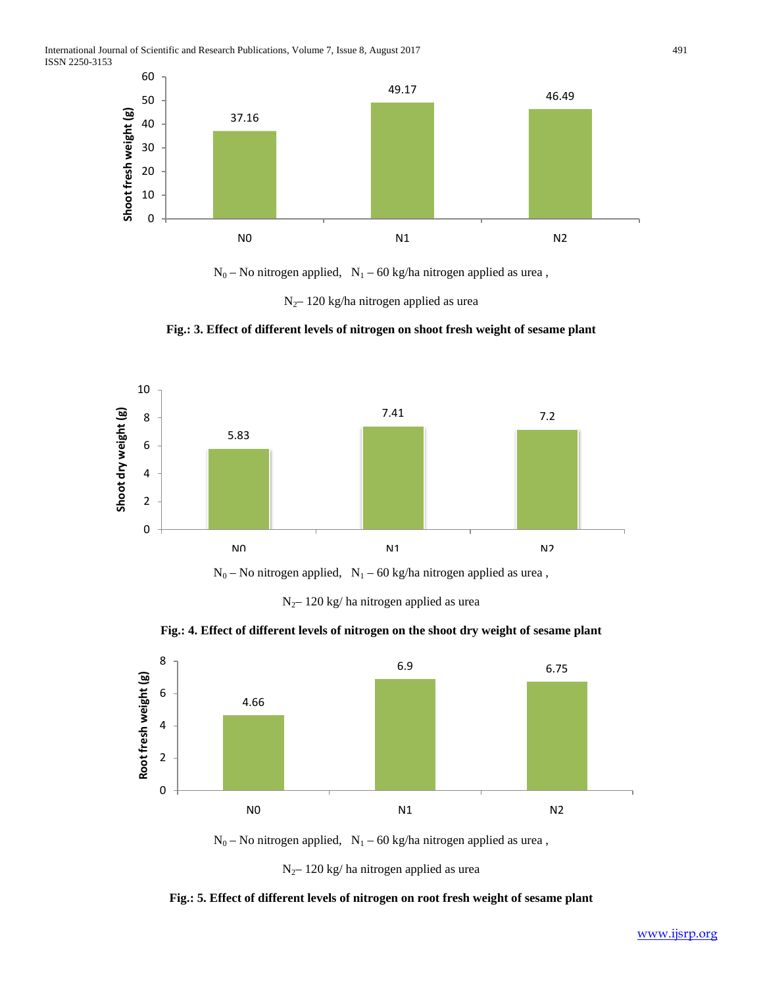International Journal of Scientific and Research Publications, Volume 7, Issue 8, August 2017 491 ISSN 2250-3153



 $N_0$  – No nitrogen applied,  $N_1$  – 60 kg/ha nitrogen applied as urea,

 $N_{2}$ – 120 kg/ha nitrogen applied as urea





 $N_0$  – No nitrogen applied,  $\;N_1$  – 60 kg/ha nitrogen applied as urea ,

N2– 120 kg/ ha nitrogen applied as urea

**Fig.: 4. Effect of different levels of nitrogen on the shoot dry weight of sesame plant**



 $N_0$  – No nitrogen applied,  $N_1$  – 60 kg/ha nitrogen applied as urea,

**Fig.: 5. Effect of different levels of nitrogen on root fresh weight of sesame plant**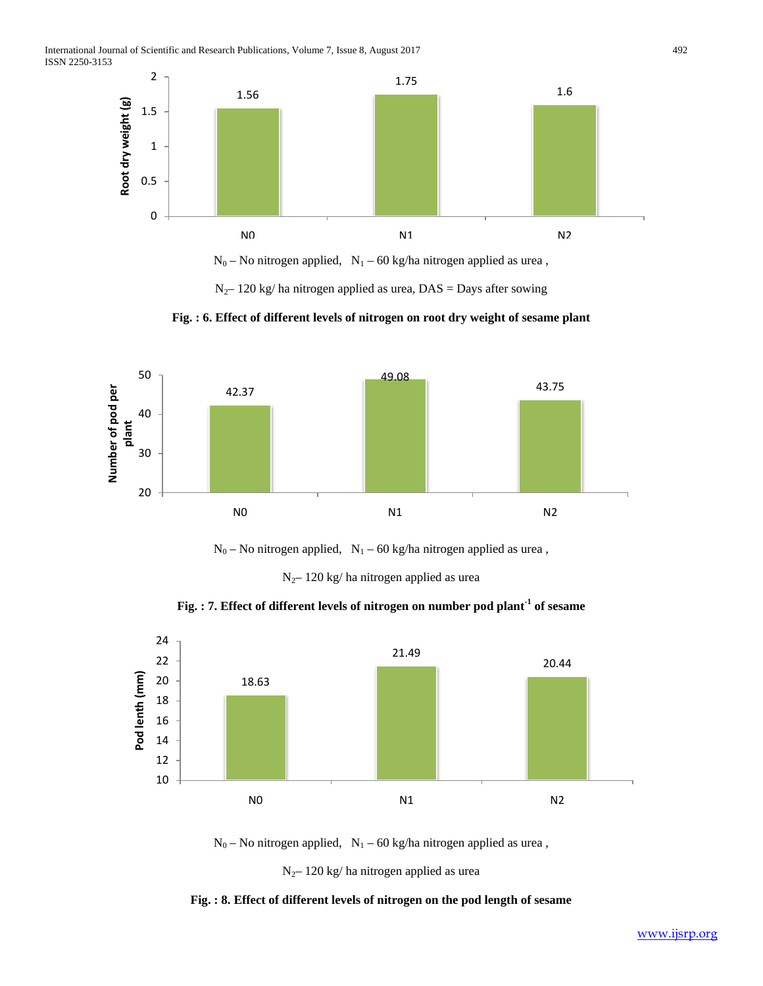

 $N_0$  – No nitrogen applied,  $N_1$  – 60 kg/ha nitrogen applied as urea,

 $N_{2}$ – 120 kg/ ha nitrogen applied as urea, DAS = Days after sowing





 $N_0$  – No nitrogen applied,  $N_1$  – 60 kg/ha nitrogen applied as urea,

N2– 120 kg/ ha nitrogen applied as urea

**Fig. : 7. Effect of different levels of nitrogen on number pod plant-1 of sesame**



 $N_0$  – No nitrogen applied,  $N_1$  – 60 kg/ha nitrogen applied as urea,

**Fig. : 8. Effect of different levels of nitrogen on the pod length of sesame**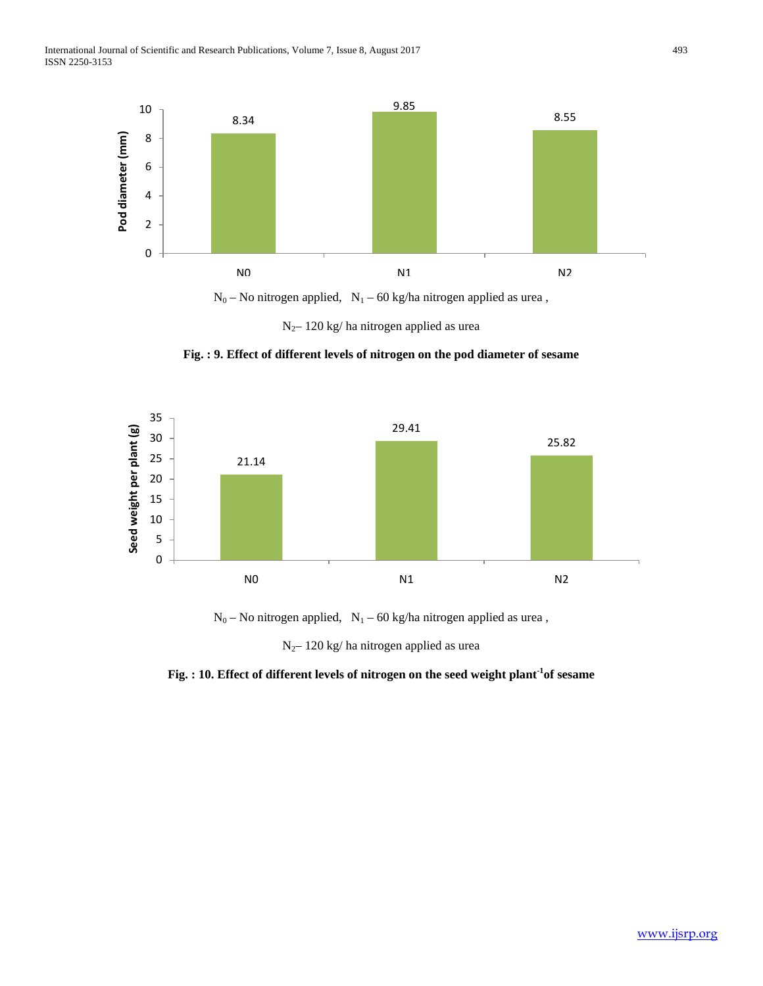International Journal of Scientific and Research Publications, Volume 7, Issue 8, August 2017 493 ISSN 2250-3153



N2– 120 kg/ ha nitrogen applied as urea





 $N_0$  – No nitrogen applied,  $N_1$  – 60 kg/ha nitrogen applied as urea,

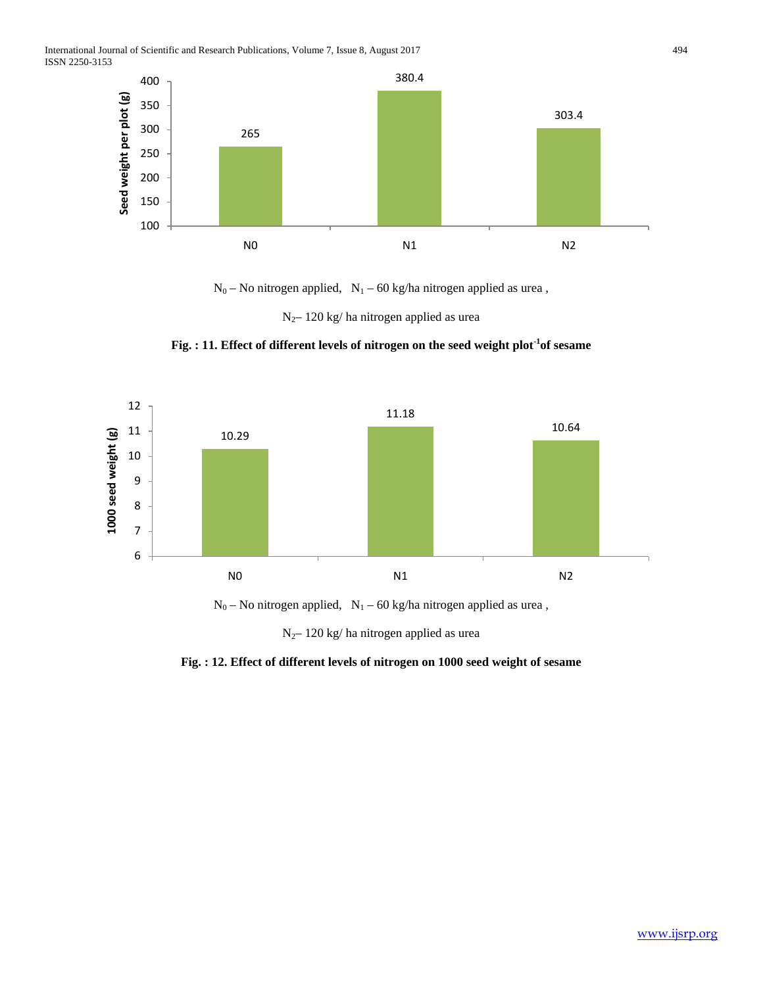International Journal of Scientific and Research Publications, Volume 7, Issue 8, August 2017 494 ISSN 2250-3153



 $N_0$  – No nitrogen applied,  $N_1$  – 60 kg/ha nitrogen applied as urea,

N2– 120 kg/ ha nitrogen applied as urea

**Fig. : 11. Effect of different levels of nitrogen on the seed weight plot-1 of sesame**



 $N_0$  – No nitrogen applied,  $N_1$  – 60 kg/ha nitrogen applied as urea ,

**Fig. : 12. Effect of different levels of nitrogen on 1000 seed weight of sesame**